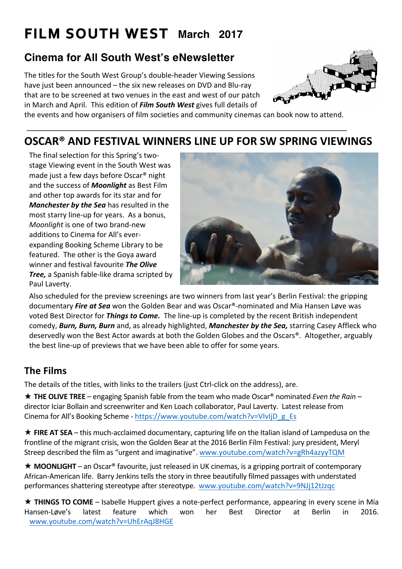# **FILM SOUTH WEST March 2017**

## **Cinema for All South West's eNewsletter**

The titles for the South West Group's double-header Viewing Sessions have just been announced  $-$  the six new releases on DVD and Blu-ray that are to be screened at two venues in the east and west of our patch in March and April. This edition of *Film South West* gives full details of



the events and how organisers of film societies and community cinemas can book now to attend.

## **OSCAR® AND FESTIVAL WINNERS LINE UP FOR SW SPRING VIEWINGS**

The final selection for this Spring's twostage Viewing event in the South West was made just a few days before Oscar<sup>®</sup> night and the success of **Moonlight** as Best Film and other top awards for its star and for **Manchester by the Sea** has resulted in the most starry line-up for years. As a bonus, *Moonlight* is one of two brand-new additions to Cinema for All's everexpanding Booking Scheme Library to be featured. The other is the Goya award winner and festival favourite The Olive **Tree,** a Spanish fable-like drama scripted by Paul Laverty.



Also scheduled for the preview screenings are two winners from last year's Berlin Festival: the gripping documentary *Fire at Sea* won the Golden Bear and was Oscar®-nominated and Mia Hansen Løve was voted Best Director for *Things to Come.* The line-up is completed by the recent British independent comedy, **Burn, Burn, Burn** and, as already highlighted, **Manchester by the Sea,** starring Casey Affleck who deservedly won the Best Actor awards at both the Golden Globes and the Oscars®. Altogether, arguably the best line-up of previews that we have been able to offer for some years.

### **The Films**

The details of the titles, with links to the trailers (just Ctrl-click on the address), are.

**★ THE OLIVE TREE** – engaging Spanish fable from the team who made Oscar<sup>®</sup> nominated *Even the Rain* – director Iciar Bollain and screenwriter and Ken Loach collaborator, Paul Laverty. Latest release from Cinema for All's Booking Scheme - https://www.youtube.com/watch?v=VIvIjD\_g\_Es

 $\star$  **FIRE AT SEA** – this much-acclaimed documentary, capturing life on the Italian island of Lampedusa on the frontline of the migrant crisis, won the Golden Bear at the 2016 Berlin Film Festival: jury president, Meryl Streep described the film as "urgent and imaginative". www.youtube.com/watch?v=gRh4azyyTQM

 $\star$  **MOONLIGHT** – an Oscar<sup>®</sup> favourite, just released in UK cinemas, is a gripping portrait of contemporary African-American life. Barry Jenkins tells the story in three beautifully filmed passages with understated performances shattering stereotype after stereotype. www.youtube.com/watch?v=9NJj12tJzqc

\* THINGS TO COME – Isabelle Huppert gives a note-perfect performance, appearing in every scene in Mia Hansen-Løve's latest feature which won her Best Director at Berlin in 2016. www.youtube.com/watch?v=UhErAqJ8HGE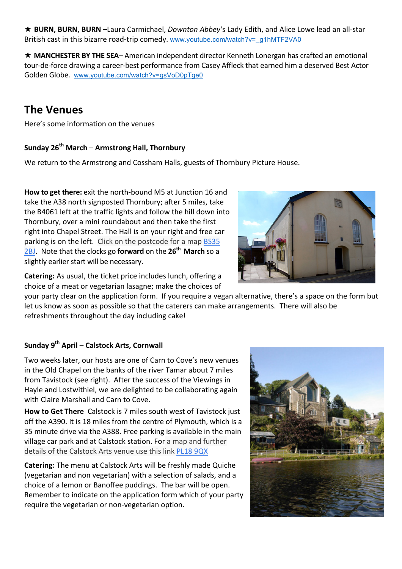\* BURN, BURN, BURN -Laura Carmichael, *Downton Abbey's* Lady Edith, and Alice Lowe lead an all-star British cast in this bizarre road-trip comedy. www.youtube.com/watch?v=\_g1hMTF2VA0

**★ MANCHESTER BY THE SEA**– American independent director Kenneth Lonergan has crafted an emotional tour-de-force drawing a career-best performance from Casey Affleck that earned him a deserved Best Actor Golden Globe. www.youtube.com/watch?v=gsVoD0pTge0

## **The Venues**

Here's some information on the venues

#### **Sunday 26th March** – **Armstrong Hall, Thornbury**

We return to the Armstrong and Cossham Halls, guests of Thornbury Picture House.

**How to get there:** exit the north-bound M5 at Junction 16 and take the A38 north signposted Thornbury; after 5 miles, take the B4061 left at the traffic lights and follow the hill down into Thornbury, over a mini roundabout and then take the first right into Chapel Street. The Hall is on your right and free car parking is on the left. Click on the postcode for a map BS35 **2BJ.** Note that the clocks go **forward** on the 26<sup>th</sup> March so a slightly earlier start will be necessary.



**Catering:** As usual, the ticket price includes lunch, offering a choice of a meat or vegetarian lasagne; make the choices of

your party clear on the application form. If you require a vegan alternative, there's a space on the form but let us know as soon as possible so that the caterers can make arrangements. There will also be refreshments throughout the day including cake!

#### **Sunday 9th April** – **Calstock Arts, Cornwall**

Two weeks later, our hosts are one of Carn to Cove's new venues in the Old Chapel on the banks of the river Tamar about 7 miles from Tavistock (see right). After the success of the Viewings in Hayle and Lostwithiel, we are delighted to be collaborating again with Claire Marshall and Carn to Cove.

**How to Get There** Calstock is 7 miles south west of Tavistock just off the A390. It is 18 miles from the centre of Plymouth, which is a 35 minute drive via the A388. Free parking is available in the main village car park and at Calstock station. For a map and further details of the Calstock Arts venue use this link PL18 9QX

**Catering:** The menu at Calstock Arts will be freshly made Quiche (vegetarian and non vegetarian) with a selection of salads, and a choice of a lemon or Banoffee puddings. The bar will be open. Remember to indicate on the application form which of your party require the vegetarian or non-vegetarian option.

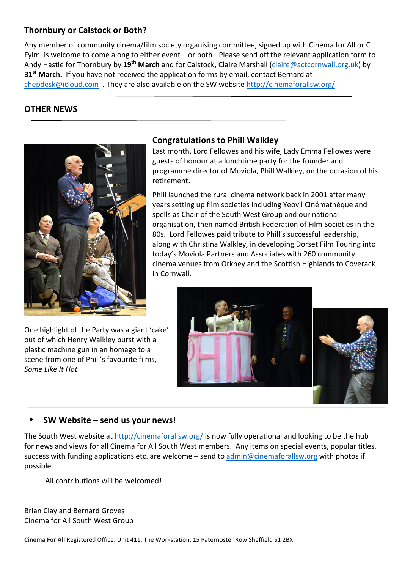#### **Thornbury or Calstock or Both?**

Any member of community cinema/film society organising committee, signed up with Cinema for All or C Fylm, is welcome to come along to either event – or both! Please send off the relevant application form to Andy Hastie for Thornbury by 19<sup>th</sup> March and for Calstock, Claire Marshall (claire@actcornwall.org.uk) by **31<sup>st</sup> March.** If you have not received the application forms by email, contact Bernard at chepdesk@icloud.com They are also available on the SW website http://cinemaforallsw.org/

#### **OTHER NEWS**



#### One highlight of the Party was a giant 'cake' out of which Henry Walkley burst with a plastic machine gun in an homage to a scene from one of Phill's favourite films. *Some Like It Hot*

#### **Congratulations to Phill Walkley**

Last month, Lord Fellowes and his wife, Lady Emma Fellowes were guests of honour at a lunchtime party for the founder and programme director of Moviola, Phill Walkley, on the occasion of his retirement.

Phill launched the rural cinema network back in 2001 after many years setting up film societies including Yeovil Cinémathèque and spells as Chair of the South West Group and our national organisation, then named British Federation of Film Societies in the 80s. Lord Fellowes paid tribute to Phill's successful leadership, along with Christina Walkley, in developing Dorset Film Touring into today's Moviola Partners and Associates with 260 community cinema venues from Orkney and the Scottish Highlands to Coverack in Cornwall. 



#### • **SW Website – send us your news!**

The South West website at http://cinemaforallsw.org/ is now fully operational and looking to be the hub for news and views for all Cinema for All South West members. Any items on special events, popular titles, success with funding applications etc. are welcome – send to admin@cinemaforallsw.org with photos if possible. 

All contributions will be welcomed!

Brian Clay and Bernard Groves Cinema for All South West Group